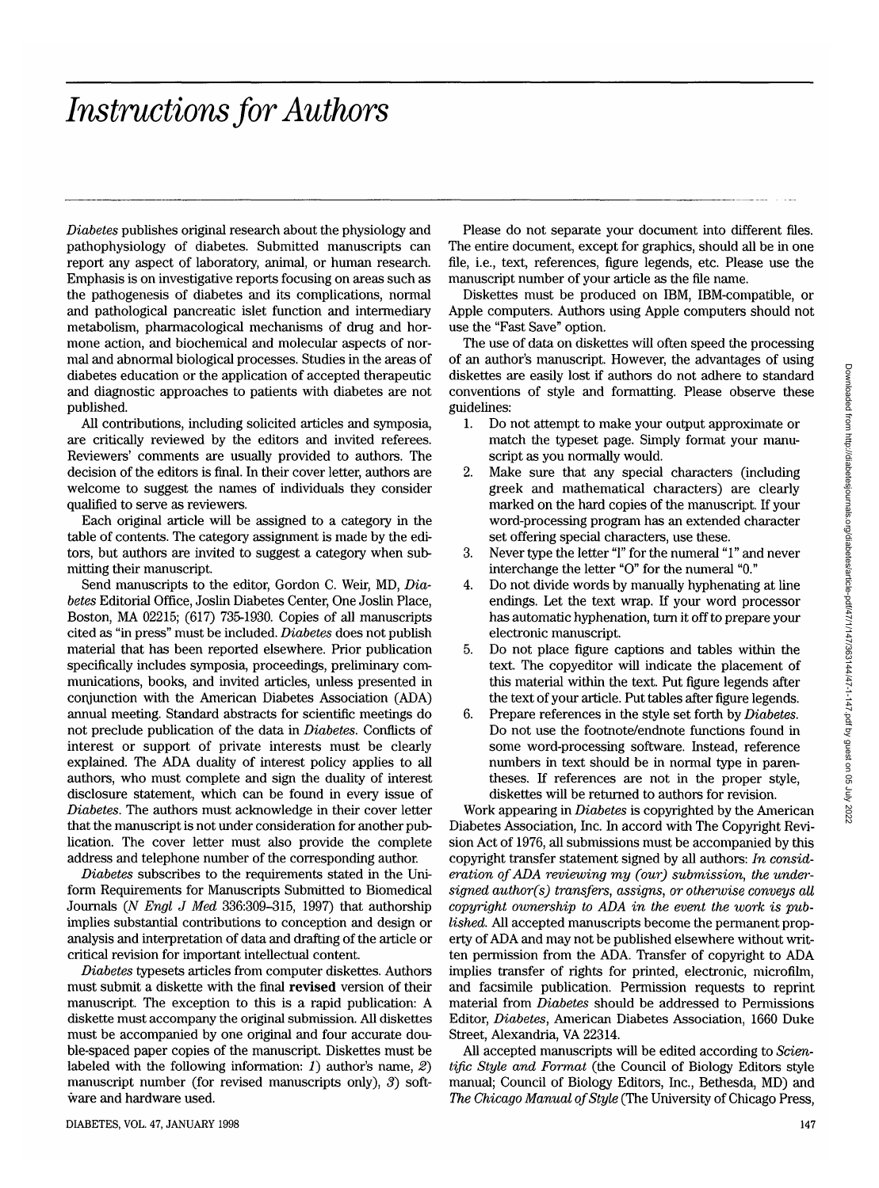# *Instructions for Authors*

*Diabetes* publishes original research about the physiology and pathophysiology of diabetes. Submitted manuscripts can report any aspect of laboratory, animal, or human research. Emphasis is on investigative reports focusing on areas such as the pathogenesis of diabetes and its complications, normal and pathological pancreatic islet function and intermediary metabolism, pharmacological mechanisms of drug and hormone action, and biochemical and molecular aspects of normal and abnormal biological processes. Studies in the areas of diabetes education or the application of accepted therapeutic and diagnostic approaches to patients with diabetes are not published.

All contributions, including solicited articles and symposia, are critically reviewed by the editors and invited referees. Reviewers' comments are usually provided to authors. The decision of the editors is final. In their cover letter, authors are welcome to suggest the names of individuals they consider qualified to serve as reviewers.

Each original article will be assigned to a category in the table of contents. The category assignment is made by the editors, but authors are invited to suggest a category when submitting their manuscript.

Send manuscripts to the editor, Gordon C. Weir, MD, *Diabetes* Editorial Office, Joslin Diabetes Center, One Joslin Place, Boston, MA 02215; (617) 735-1930. Copies of all manuscripts cited as "in press" must be included. *Diabetes* does not publish material that has been reported elsewhere. Prior publication specifically includes symposia, proceedings, preliminary communications, books, and invited articles, unless presented in conjunction with the American Diabetes Association (ADA) annual meeting. Standard abstracts for scientific meetings do not preclude publication of the data in *Diabetes.* Conflicts of interest or support of private interests must be clearly explained. The ADA duality of interest policy applies to all authors, who must complete and sign the duality of interest disclosure statement, which can be found in every issue of *Diabetes.* The authors must acknowledge in their cover letter that the manuscript is not under consideration for another publication. The cover letter must also provide the complete address and telephone number of the corresponding author.

*Diabetes* subscribes to the requirements stated in the Uniform Requirements for Manuscripts Submitted to Biomedical Journals (*N Engl J Med* 336:309–315, 1997) that authorship implies substantial contributions to conception and design or analysis and interpretation of data and drafting of the article or critical revision for important intellectual content.

*Diabetes* typesets articles from computer diskettes. Authors must submit a diskette with the final revised version of their manuscript. The exception to this is a rapid publication: A diskette must accompany the original submission. All diskettes must be accompanied by one original and four accurate double-spaced paper copies of the manuscript. Diskettes must be labeled with the following information: *1)* author's name, *2)* manuscript number (for revised manuscripts only), *3)* software and hardware used.

Please do not separate your document into different files. The entire document, except for graphics, should all be in one file, i.e., text, references, figure legends, etc. Please use the manuscript number of your article as the file name.

Diskettes must be produced on IBM, IBM-compatible, or Apple computers. Authors using Apple computers should not use the "Fast Save" option.

The use of data on diskettes will often speed the processing of an author's manuscript. However, the advantages of using diskettes are easily lost if authors do not adhere to standard conventions of style and formatting. Please observe these guidelines:

- 1. Do not attempt to make your output approximate or match the typeset page. Simply format your manuscript as you normally would.
- 2. Make sure that any special characters (including greek and mathematical characters) are clearly marked on the hard copies of the manuscript. If your word-processing program has an extended character set offering special characters, use these.
- 3. Never type the letter "1" for the numeral "1" and never interchange the letter "0" for the numeral "0."
- 4. Do not divide words by manually hyphenating at line endings. Let the text wrap. If your word processor has automatic hyphenation, turn it off to prepare your electronic manuscript.
- 5. Do not place figure captions and tables within the text. The copyeditor will indicate the placement of this material within the text. Put figure legends after the text of your article. Put tables after figure legends.
- 6. Prepare references in the style set forth by *Diabetes.* Do not use the footnote/endnote functions found in some word-processing software. Instead, reference numbers in text should be in normal type in parentheses. If references are not in the proper style, diskettes will be returned to authors for revision.

Work appearing in *Diabetes* is copyrighted by the American Diabetes Association, Inc. In accord with The Copyright Revision Act of 1976, all submissions must be accompanied by this copyright transfer statement signed by all authors: *In consideration of ADA reviewing my (our) submission, the undersigned author(s) transfers, assigns, or otherwise conveys all copyright ownership to ADA in the event the work is published.* All accepted manuscripts become the permanent property of ADA and may not be published elsewhere without written permission from the ADA. Transfer of copyright to ADA implies transfer of rights for printed, electronic, microfilm, and facsimile publication. Permission requests to reprint material from *Diabetes* should be addressed to Permissions Editor, *Diabetes,* American Diabetes Association, 1660 Duke Street, Alexandria, VA 22314.

All accepted manuscripts will be edited according to *Scientific Style and Format* (the Council of Biology Editors style manual; Council of Biology Editors, Inc., Bethesda, MD) and *The Chicago Manual of Style* (The University of Chicago Press,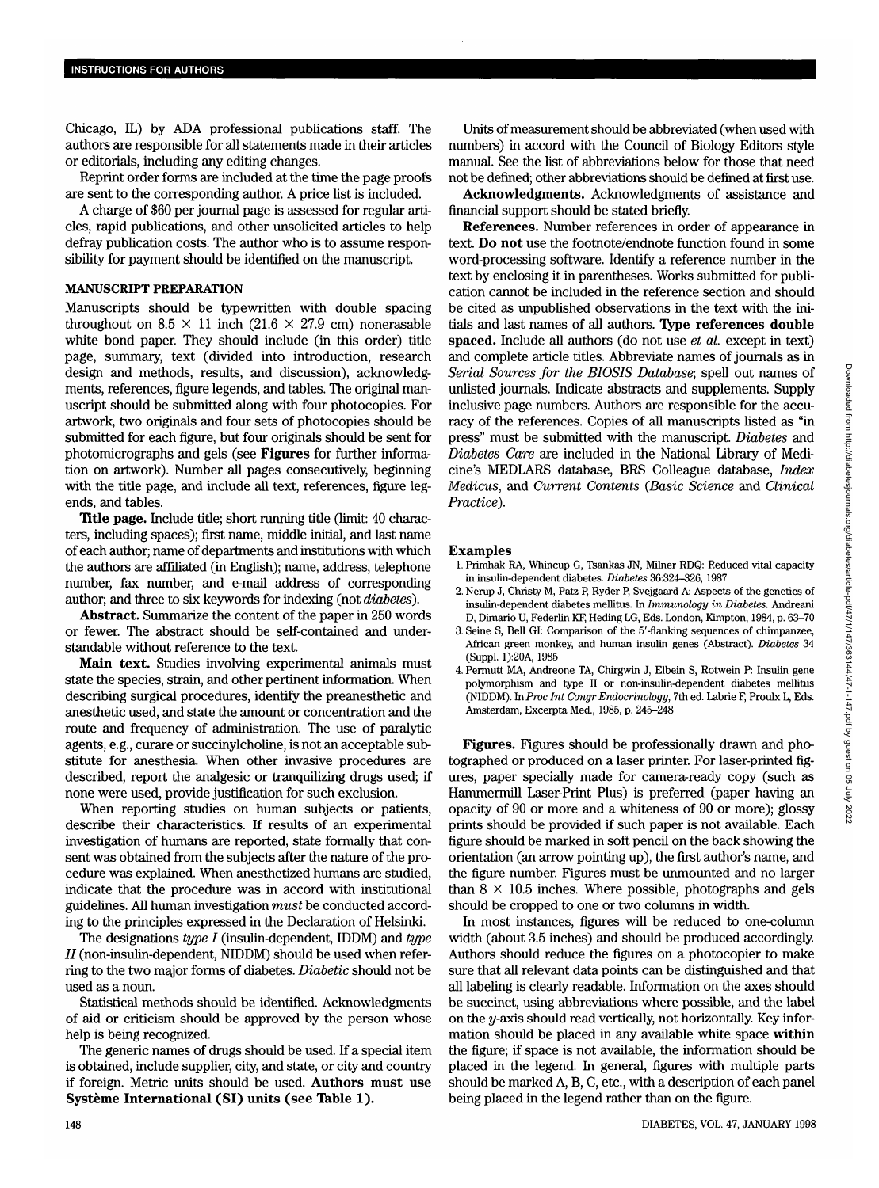Chicago, IL) by ADA professional publications staff. The authors are responsible for all statements made in their articles or editorials, including any editing changes.

Reprint order forms are included at the time the page proofs are sent to the corresponding author. A price list is included.

A charge of \$60 per journal page is assessed for regular articles, rapid publications, and other unsolicited articles to help defray publication costs. The author who is to assume responsibility for payment should be identified on the manuscript.

#### **MANUSCRIPT PREPARATION**

Manuscripts should be typewritten with double spacing throughout on 8.5  $\times$  11 inch (21.6  $\times$  27.9 cm) nonerasable white bond paper. They should include (in this order) title page, summary, text (divided into introduction, research design and methods, results, and discussion), acknowledgments, references, figure legends, and tables. The original manuscript should be submitted along with four photocopies. For artwork, two originals and four sets of photocopies should be submitted for each figure, but four originals should be sent for photomicrographs and gels (see **Figures** for further information on artwork). Number all pages consecutively, beginning with the title page, and include all text, references, figure legends, and tables.

**Title page.** Include title; short running title (limit: 40 characters, including spaces); first name, middle initial, and last name of each author; name of departments and institutions with which the authors are affiliated (in English); name, address, telephone number, fax number, and e-mail address of corresponding author; and three to six keywords for indexing (not *diabetes).*

**Abstract.** Summarize the content of the paper in 250 words or fewer. The abstract should be self-contained and understandable without reference to the text.

**Main text.** Studies involving experimental animals must state the species, strain, and other pertinent information. When describing surgical procedures, identify the preanesthetic and anesthetic used, and state the amount or concentration and the route and frequency of administration. The use of paralytic agents, e.g., curare or succinylcholine, is not an acceptable substitute for anesthesia. When other invasive procedures are described, report the analgesic or tranquilizing drugs used; if none were used, provide justification for such exclusion.

When reporting studies on human subjects or patients, describe their characteristics. If results of an experimental investigation of humans are reported, state formally that consent was obtained from the subjects after the nature of the procedure was explained. When anesthetized humans are studied, indicate that the procedure was in accord with institutional guidelines. All human investigation *must* be conducted according to the principles expressed in the Declaration of Helsinki.

The designations *type I* (insulin-dependent, IDDM) and *type II* (non-insulin-dependent, NIDDM) should be used when referring to the two major forms of diabetes. *Diabetic* should not be used as a noun.

Statistical methods should be identified. Acknowledgments of aid or criticism should be approved by the person whose help is being recognized.

The generic names of drugs should be used. If a special item is obtained, include supplier, city, and state, or city and country if foreign. Metric units should be used. **Authors must use Systeme International (SI) units (see Table 1).**

Units of measurement should be abbreviated (when used with numbers) in accord with the Council of Biology Editors style manual. See the list of abbreviations below for those that need not be defined; other abbreviations should be defined at first use.

**Acknowledgments.** Acknowledgments of assistance and financial support should be stated briefly.

**References.** Number references in order of appearance in text. Do **not** use the footnote/endnote function found in some word-processing software. Identify a reference number in the text by enclosing it in parentheses. Works submitted for publication cannot be included in the reference section and should be cited as unpublished observations in the text with the initials and last names of all authors. **Type references double spaced.** Include all authors (do not use *et al.* except in text) and complete article titles. Abbreviate names of journals as in *Serial Sources for the BIOSIS Database;* spell out names of unlisted journals. Indicate abstracts and supplements. Supply inclusive page numbers. Authors are responsible for the accuracy of the references. Copies of all manuscripts listed as "in press" must be submitted with the manuscript. *Diabetes* and *Diabetes Care* are included in the National Library of Medicine's MEDLARS database, BRS Colleague database, *Index Medicus,* and *Current Contents (Basic Science* and *Clinical Practice).*

#### **Examples**

- 1. Primhak RA, Whincup G, Tsankas JN, Miner RDQ: Reduced vital capacity in insulin-dependent diabetes. *Diabetes* 36:324-326, 1987
- 2. Nerup J, Christy M, Patz P, Ryder P, Svejgaard A: Aspects of the genetics of insulin-dependent diabetes mellitus. In *Immunology in Diabetes.* Andreani D, Dimario U, Federlin KF, Heding LG, Eds. London, Kimpton, 1984, p. 63-70
- 3. Seine S, Bell GI: Comparison of the 5'-flanking sequences of chimpanzee, African green monkey, and human insulin genes (Abstract). *Diabetes* 34 (Suppl. l):20A, 1985
- 4. Permutt MA, Andreone TA, Chirgwin J, Elbein S, Rotwein P: Insulin gene polymorphism and type II or non-insulin-dependent diabetes mellitus (NIDDM). *inProc Int Congr Endocrinology,* 7th ed. Labrie F, Proulx L, Eds. Amsterdam, Excerpta Med., 1985, p. 245-248

**Figures.** Figures should be professionally drawn and photographed or produced on a laser printer. For laser-printed figures, paper specially made for camera-ready copy (such as Hammermill Laser-Print Plus) is preferred (paper having an opacity of 90 or more and a whiteness of 90 or more); glossy prints should be provided if such paper is not available. Each figure should be marked in soft pencil on the back showing the orientation (an arrow pointing up), the first author's name, and the figure number. Figures must be unmounted and no larger than  $8 \times 10.5$  inches. Where possible, photographs and gels should be cropped to one or two columns in width.

In most instances, figures will be reduced to one-column width (about 3.5 inches) and should be produced accordingly. Authors should reduce the figures on a photocopier to make sure that all relevant data points can be distinguished and that all labeling is clearly readable. Information on the axes should be succinct, using abbreviations where possible, and the label on the  $y$ -axis should read vertically, not horizontally. Key information should be placed in any available white space **within** the figure; if space is not available, the information should be placed in the legend. In general, figures with multiple parts should be marked A, B, C, etc., with a description of each panel being placed in the legend rather than on the figure.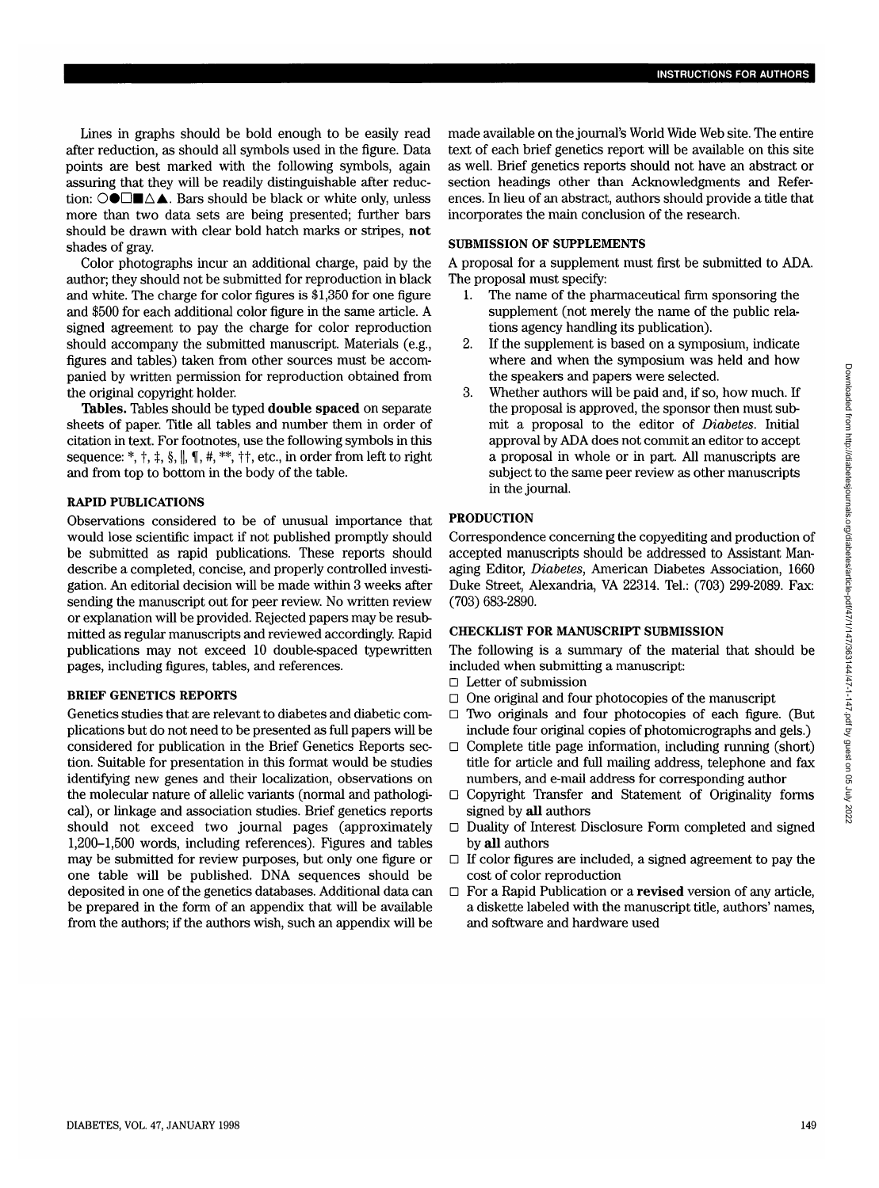Lines in graphs should be bold enough to be easily read after reduction, as should all symbols used in the figure. Data points are best marked with the following symbols, again assuring that they will be readily distinguishable after reduction:  $\bigcirc$  **●** $\Box$ **■** $\triangle$  **A**  $\Box$  Bars should be black or white only, unless more than two data sets are being presented; further bars should be drawn with clear bold hatch marks or stripes, **not** shades of gray.

Color photographs incur an additional charge, paid by the author; they should not be submitted for reproduction in black and white. The charge for color figures is \$1,350 for one figure and \$500 for each additional color figure in the same article. A signed agreement to pay the charge for color reproduction should accompany the submitted manuscript. Materials (e.g., figures and tables) taken from other sources must be accompanied by written permission for reproduction obtained from the original copyright holder.

**Tables.** Tables should be typed **double spaced** on separate sheets of paper. Title all tables and number them in order of citation in text. For footnotes, use the following symbols in this sequence: \*,  $\dagger$ ,  $\dagger$ ,  $\S$ ,  $\parallel$ ,  $\P$ ,  $\#$ , \*\*,  $\dagger \dagger$ , etc., in order from left to right and from top to bottom in the body of the table.

#### **RAPID PUBLICATIONS**

Observations considered to be of unusual importance that would lose scientific impact if not published promptly should be submitted as rapid publications. These reports should describe a completed, concise, and properly controlled investigation. An editorial decision will be made within 3 weeks after sending the manuscript out for peer review. No written review or explanation will be provided. Rejected papers may be resubmitted as regular manuscripts and reviewed accordingly. Rapid publications may not exceed 10 double-spaced typewritten pages, including figures, tables, and references.

#### BRIEF GENETICS REPORTS

Genetics studies that are relevant to diabetes and diabetic complications but do not need to be presented as full papers will be considered for publication in the Brief Genetics Reports section. Suitable for presentation in this format would be studies identifying new genes and their localization, observations on the molecular nature of allelic variants (normal and pathological), or linkage and association studies. Brief genetics reports should not exceed two journal pages (approximately 1,200-1,500 words, including references). Figures and tables may be submitted for review purposes, but only one figure or one table will be published. DNA sequences should be deposited in one of the genetics databases. Additional data can be prepared in the form of an appendix that will be available from the authors; if the authors wish, such an appendix will be

made available on the journal's World Wide Web site. The entire text of each brief genetics report will be available on this site as well. Brief genetics reports should not have an abstract or section headings other than Acknowledgments and References. In lieu of an abstract, authors should provide a title that incorporates the main conclusion of the research.

## **SUBMISSION OF SUPPLEMENTS**

A proposal for a supplement must first be submitted to ADA. The proposal must specify:

- 1. The name of the pharmaceutical firm sponsoring the supplement (not merely the name of the public relations agency handling its publication).
- 2. If the supplement is based on a symposium, indicate where and when the symposium was held and how the speakers and papers were selected.
- 3. Whether authors will be paid and, if so, how much. If the proposal is approved, the sponsor then must submit a proposal to the editor of *Diabetes.* Initial approval by ADA does not commit an editor to accept a proposal in whole or in part. All manuscripts are subject to the same peer review as other manuscripts in the journal.

### **PRODUCTION**

Correspondence concerning the copyediting and production of accepted manuscripts should be addressed to Assistant Managing Editor, *Diabetes,* American Diabetes Association, 1660 Duke Street, Alexandria, VA 22314. Tel: (703) 299-2089. Fax: (703) 683-2890.

# **CHECKLIST FOR MANUSCRIPT SUBMISSION**

The following is a summary of the material that should be included when submitting a manuscript:

- D Letter of submission
- $\Box$  One original and four photocopies of the manuscript
- $\Box$  Two originals and four photocopies of each figure. (But include four original copies of photomicrographs and gels.)
- $\Box$  Complete title page information, including running (short) title for article and full mailing address, telephone and fax numbers, and e-mail address for corresponding author
- $\Box$  Copyright Transfer and Statement of Originality forms signed by **all** authors
- $\Box$  Duality of Interest Disclosure Form completed and signed by **all** authors
- $\Box$  If color figures are included, a signed agreement to pay the cost of color reproduction
- □ For a Rapid Publication or a **revised** version of any article, a diskette labeled with the manuscript title, authors' names, and software and hardware used